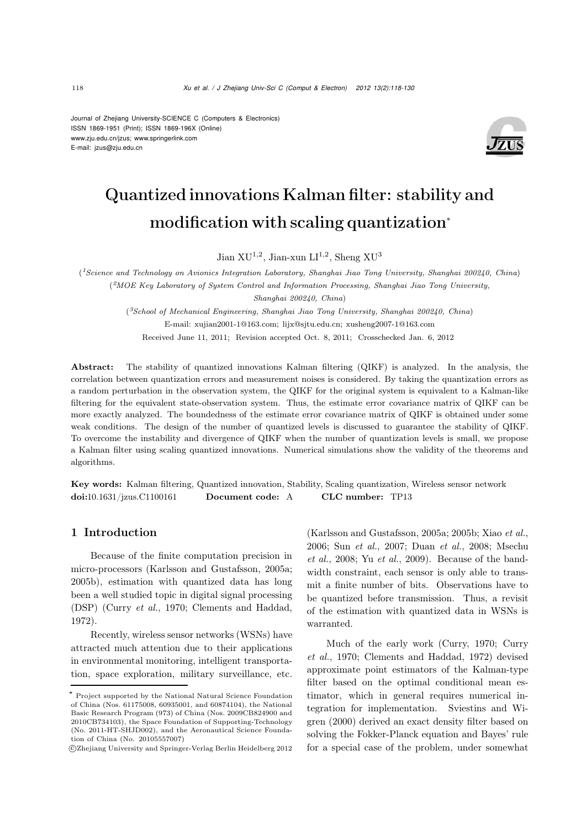Journal of Zhejiang University-SCIENCE C (Computers & Electronics) ISSN 1869-1951 (Print); ISSN 1869-196X (Online) www.zju.edu.cn/jzus; www.springerlink.com E-mail: jzus@zju.edu.cn



# Quantized innovations Kalman filter: stability and modification with scaling quantization<sup>∗</sup>

Jian XU<sup>1,2</sup>, Jian-xun LI<sup>1,2</sup>, Sheng XU<sup>3</sup>

(*1Science and Technology on Avionics Integration Laboratory, Shanghai Jiao Tong University, Shanghai 200240, China*) (*2MOE Key Laboratory of System Control and Information Processing, Shanghai Jiao Tong University, Shanghai 200240, China*)

(*3School of Mechanical Engineering, Shanghai Jiao Tong University, Shanghai 200240, China*) E-mail: xujian2001-1@163.com; lijx@sjtu.edu.cn; xusheng2007-1@163.com Received June 11, 2011; Revision accepted Oct. 8, 2011; Crosschecked Jan. 6, 2012

Abstract: The stability of quantized innovations Kalman filtering (QIKF) is analyzed. In the analysis, the correlation between quantization errors and measurement noises is considered. By taking the quantization errors as a random perturbation in the observation system, the QIKF for the original system is equivalent to a Kalman-like filtering for the equivalent state-observation system. Thus, the estimate error covariance matrix of QIKF can be more exactly analyzed. The boundedness of the estimate error covariance matrix of QIKF is obtained under some weak conditions. The design of the number of quantized levels is discussed to guarantee the stability of QIKF. To overcome the instability and divergence of QIKF when the number of quantization levels is small, we propose a Kalman filter using scaling quantized innovations. Numerical simulations show the validity of the theorems and algorithms.

Key words: Kalman filtering, Quantized innovation, Stability, Scaling quantization, Wireless sensor network doi:10.1631/jzus.C1100161 Document code: A CLC number: TP13

## 1 Introduction

Because of the finite computation precision in micro-processors (Karlsson and Gustafsson, 2005a; 2005b), estimation with quantized data has long been a well studied topic in digital signal processing (DSP) (Curry *et al.*, 1970; Clements and Haddad, 1972).

Recently, wireless sensor networks (WSNs) have attracted much attention due to their applications in environmental monitoring, intelligent transportation, space exploration, military surveillance, etc. (Karlsson and Gustafsson, 2005a; 2005b; Xiao *et al.*, 2006; Sun *et al.*, 2007; Duan *et al.*, 2008; Msechu *et al.*, 2008; Yu *et al.*, 2009). Because of the bandwidth constraint, each sensor is only able to transmit a finite number of bits. Observations have to be quantized before transmission. Thus, a revisit of the estimation with quantized data in WSNs is warranted.

Much of the early work (Curry, 1970; Curry *et al.*, 1970; Clements and Haddad, 1972) devised approximate point estimators of the Kalman-type filter based on the optimal conditional mean estimator, which in general requires numerical integration for implementation. Sviestins and Wigren (2000) derived an exact density filter based on solving the Fokker-Planck equation and Bayes' rule for a special case of the problem, under somewhat

<sup>\*</sup> Project supported by the National Natural Science Foundation of China (Nos. 61175008, 60935001, and 60874104), the National Basic Research Program (973) of China (Nos. 2009CB824900 and 2010CB734103), the Space Foundation of Supporting-Technology (No. 2011-HT-SHJD002), and the Aeronautical Science Foundation of China (No. 20105557007)

c Zhejiang University and Springer-Verlag Berlin Heidelberg 2012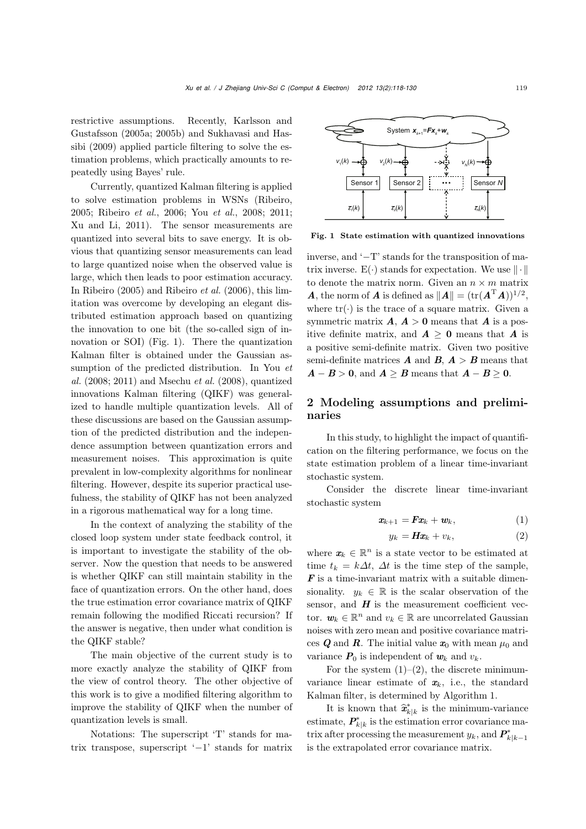restrictive assumptions. Recently, Karlsson and Gustafsson (2005a; 2005b) and Sukhavasi and Hassibi (2009) applied particle filtering to solve the estimation problems, which practically amounts to repeatedly using Bayes' rule.

Currently, quantized Kalman filtering is applied to solve estimation problems in WSNs (Ribeiro, 2005; Ribeiro *et al.*, 2006; You *et al.*, 2008; 2011; Xu and Li, 2011). The sensor measurements are quantized into several bits to save energy. It is obvious that quantizing sensor measurements can lead to large quantized noise when the observed value is large, which then leads to poor estimation accuracy. In Ribeiro (2005) and Ribeiro *et al.* (2006), this limitation was overcome by developing an elegant distributed estimation approach based on quantizing the innovation to one bit (the so-called sign of innovation or SOI) (Fig. 1). There the quantization Kalman filter is obtained under the Gaussian assumption of the predicted distribution. In You *et al.* (2008; 2011) and Msechu *et al.* (2008), quantized innovations Kalman filtering (QIKF) was generalized to handle multiple quantization levels. All of these discussions are based on the Gaussian assumption of the predicted distribution and the independence assumption between quantization errors and measurement noises. This approximation is quite prevalent in low-complexity algorithms for nonlinear filtering. However, despite its superior practical usefulness, the stability of QIKF has not been analyzed in a rigorous mathematical way for a long time.

In the context of analyzing the stability of the closed loop system under state feedback control, it is important to investigate the stability of the observer. Now the question that needs to be answered is whether QIKF can still maintain stability in the face of quantization errors. On the other hand, does the true estimation error covariance matrix of QIKF remain following the modified Riccati recursion? If the answer is negative, then under what condition is the QIKF stable?

The main objective of the current study is to more exactly analyze the stability of QIKF from the view of control theory. The other objective of this work is to give a modified filtering algorithm to improve the stability of QIKF when the number of quantization levels is small.

Notations: The superscript 'T' stands for matrix transpose, superscript '−1' stands for matrix



Fig. 1 State estimation with quantized innovations

inverse, and '−T' stands for the transposition of matrix inverse.  $E(\cdot)$  stands for expectation. We use  $\|\cdot\|$ to denote the matrix norm. Given an  $n \times m$  matrix *A*, the norm of *A* is defined as  $||A|| = (\text{tr}(A^{T}A))^{1/2}$ , where  $tr(\cdot)$  is the trace of a square matrix. Given a symmetric matrix  $A, A > 0$  means that  $A$  is a positive definite matrix, and  $A > 0$  means that *A* is a positive semi-definite matrix. Given two positive semi-definite matrices  $\boldsymbol{A}$  and  $\boldsymbol{B}$ ,  $\boldsymbol{A} > \boldsymbol{B}$  means that  $A - B > 0$ , and  $A \geq B$  means that  $A - B \geq 0$ .

# 2 Modeling assumptions and preliminaries

In this study, to highlight the impact of quantification on the filtering performance, we focus on the state estimation problem of a linear time-invariant stochastic system.

Consider the discrete linear time-invariant stochastic system

$$
\boldsymbol{x}_{k+1} = \boldsymbol{F}\boldsymbol{x}_k + \boldsymbol{w}_k, \tag{1}
$$

$$
y_k = Hx_k + v_k, \t\t(2)
$$

where  $x_k \in \mathbb{R}^n$  is a state vector to be estimated at time  $t_k = k\Delta t$ ,  $\Delta t$  is the time step of the sample, *F* is a time-invariant matrix with a suitable dimensionality.  $y_k \in \mathbb{R}$  is the scalar observation of the sensor, and  $H$  is the measurement coefficient vector.  $w_k \in \mathbb{R}^n$  and  $v_k \in \mathbb{R}$  are uncorrelated Gaussian noises with zero mean and positive covariance matrices *Q* and *R*. The initial value  $x_0$  with mean  $\mu_0$  and variance  $P_0$  is independent of  $w_k$  and  $v_k$ .

For the system  $(1)$ – $(2)$ , the discrete minimumvariance linear estimate of  $x_k$ , i.e., the standard<br>Kalman filter, is determined by Algorithm 1.<br>It is known that  $\hat{x}_{k|k}^*$  is the minimum-variance Kalman filter, is determined by Algorithm 1.

 $\widehat{\mathbf{x}}_{k|k}^*$  is the minimum-variance estimate,  $P_{k|k}^*$  is the estimation error covariance matrix after processing the measurement  $y_k$ , and  $P^*_{k|k-1}$ is the extrapolated error covariance matrix.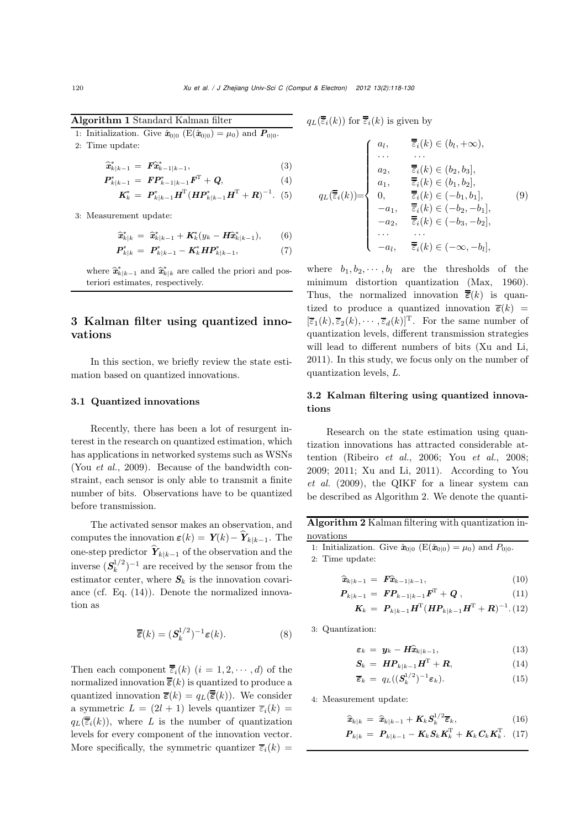Algorithm 1 Standard Kalman filter

1: Initialization. Give  $\hat{x}_{0|0}$  (E( $\hat{x}_{0|0}$ ) =  $\mu_0$ ) and  $P_{0|0}$ .<br>
2: Time update:<br>  $\hat{x}_{k|k-1}^* = F\hat{x}_{k-1|k-1}^*,$ 

2: Time update: *x*∗

$$
\begin{aligned}\n\widehat{\mathbf{x}}_{k|k-1}^{*} &= \mathbf{F} \widehat{\mathbf{x}}_{k-1|k-1}^{*}, & (3) \\
\mathbf{P}_{k|k-1}^{*} &= \mathbf{F} \mathbf{P}_{k-1|k-1}^{*} \mathbf{F}^{\mathrm{T}} + \mathbf{Q}, & (4)\n\end{aligned}
$$

$$
\mathbf{K}_{k}^{*} = \mathbf{P}_{k|k-1}^{*} \mathbf{H}^{\mathrm{T}} (\mathbf{H} \mathbf{P}_{k|k-1}^{*} \mathbf{H}^{\mathrm{T}} + \mathbf{R})^{-1}.
$$
 (5)

3: Measurement update:

$$
\begin{aligned}\n\text{ement update:} \\
\widehat{\mathbf{x}}_{k|k}^* &= \widehat{\mathbf{x}}_{k|k-1}^* + \mathbf{K}_k^*(y_k - \mathbf{H}\widehat{\mathbf{x}}_{k|k-1}^*), \qquad (6)\n\end{aligned}
$$

$$
\boldsymbol{P}_{k|k}^{*} = \boldsymbol{P}_{k|k-1}^{*} - \boldsymbol{K}_{k}^{*} \boldsymbol{H} \boldsymbol{P}_{k|k-1}^{*}, \tag{7}
$$

 $P_{k|k}^* = P_{k|k-1}^* - K_k^* H P_{k|k-1}^*,$  (7)<br> *x*<sup>\*</sup> *k*<sup>\*</sup>  $\hat{x}_{k|k-1}^* = \hat{x}_{k|k-1}^*$  and  $\hat{x}_{k|k}^*$  are called the priori and posteriori estimates, respectively.

# 3 Kalman filter using quantized innovations

In this section, we briefly review the state estimation based on quantized innovations.

## 3.1 Quantized innovations

Recently, there has been a lot of resurgent interest in the research on quantized estimation, which has applications in networked systems such as WSNs (You *et al.*, 2009). Because of the bandwidth constraint, each sensor is only able to transmit a finite number of bits. Observations have to be quantized before transmission.

The activated sensor makes an observation, and before transmission.<br>The activated sensor makes an observation, and<br>computes the innovation  $\varepsilon(k) = \mathbf{Y}(k) - \hat{\mathbf{Y}}_{k|k-1}$ . The The activated sensor makes an observation, and<br>
computes the innovation  $\varepsilon(k) = \mathbf{Y}(k) - \hat{\mathbf{Y}}_{k|k-1}$ . The<br>
one-step predictor  $\hat{\mathbf{Y}}_{k|k-1}$  of the observation and the inverse  $(S_k^{1/2})^{-1}$  are received by the sensor from the estimator contains  $S_k$  is the inneration contains estimator center, where  $S_k$  is the innovation covariance (cf. Eq. (14)). Denote the normalized innovation as

$$
\overline{\overline{\overline{\varepsilon}}}(k) = (\mathbf{S}_k^{1/2})^{-1} \varepsilon(k). \tag{8}
$$

Then each component  $\overline{\overline{\epsilon}}_i(k)$   $(i = 1, 2, \dots, d)$  of the normalized innovation  $\overline{\overline{\epsilon}}(k)$  is quantized to produce a quantized innovation  $\overline{\epsilon}(k) = q_L(\overline{\overline{\epsilon}}(k))$ . We consider a symmetric  $L = (2l + 1)$  levels quantizer  $\overline{\varepsilon}_i(k)$  $q_L(\overline{\overline{\overline{\epsilon}}_i}(k))$ , where *L* is the number of quantization levels for every component of the innovation vector. More specifically, the symmetric quantizer  $\overline{\epsilon}_i(k)$  =

 $q_L(\overline{\overline{\overline{\epsilon}}_i}(k))$  for  $\overline{\overline{\overline{\epsilon}}_i}(k)$  is given by

$$
q_L(\overline{\overline{\overline{\varepsilon}}_i}(k)) \text{ for } \overline{\overline{\overline{\varepsilon}}_i}(k) \text{ is given by}
$$
\n
$$
q_L(\overline{\overline{\varepsilon}}_i(k)) = \begin{cases}\na_1, & \overline{\overline{\varepsilon}}_i(k) \in (b_1, +\infty), \\
\cdots & \cdots \\
a_2, & \overline{\overline{\varepsilon}}_i(k) \in (b_2, b_3], \\
a_1, & \overline{\overline{\varepsilon}}_i(k) \in (b_1, b_2], \\
0, & \overline{\overline{\varepsilon}}_i(k) \in (-b_1, b_1], \\
-a_1, & \overline{\overline{\varepsilon}}_i(k) \in (-b_2, -b_1], \\
-a_2, & \overline{\overline{\varepsilon}}_i(k) \in (-b_3, -b_2], \\
\cdots & \cdots \\
-a_l, & \overline{\overline{\varepsilon}}_i(k) \in (-\infty, -b_l],\n\end{cases}
$$
\n(9)

where  $b_1, b_2, \dots, b_l$  are the thresholds of the minimum distortion quantization (Max, 1960). Thus, the normalized innovation  $\overline{\overline{\epsilon}}(k)$  is quantized to produce a quantized innovation  $\overline{\epsilon}(k)$  =  $[\overline{\varepsilon}_1(k), \overline{\varepsilon}_2(k), \cdots, \overline{\varepsilon}_d(k)]^{\mathrm{T}}$ . For the same number of quantization levels, different transmission strategies will lead to different numbers of bits (Xu and Li, 2011). In this study, we focus only on the number of quantization levels, *L*.

# 3.2 Kalman filtering using quantized innovations

Research on the state estimation using quantization innovations has attracted considerable attention (Ribeiro *et al.*, 2006; You *et al.*, 2008; 2009; 2011; Xu and Li, 2011). According to You *et al.* (2009), the QIKF for a linear system can be described as Algorithm 2. We denote the quanti-

Algorithm 2 Kalman filtering with quantization innovations

1: Initialization. Give  $\hat{\mathbf{x}}_{0|0}$  (E( $\hat{\mathbf{x}}_{0|0}$ ) =  $\mu_0$ ) and  $P_{0|0}$ .

2: Time update:

$$
\hat{\mathbf{x}}_{k|k-1} = \mathbf{F} \hat{\mathbf{x}}_{k-1|k-1}, \tag{10}
$$
\n
$$
\hat{\mathbf{x}}_{k|k-1} = \mathbf{F} \hat{\mathbf{x}}_{k-1|k-1}, \tag{10}
$$

$$
\boldsymbol{P}_{k|k-1} = \boldsymbol{F} \boldsymbol{P}_{k-1|k-1} \boldsymbol{F}^{\mathrm{T}} + \boldsymbol{Q} \,, \tag{11}
$$

$$
K_k = P_{k|k-1} H^{T} (H P_{k|k-1} H^{T} + R)^{-1} . (12)
$$

3: Quantization:

ation:  
\n
$$
\varepsilon_k = \mathbf{y}_k - \mathbf{H} \hat{\mathbf{x}}_{k|k-1},
$$
\n(13)

$$
\mathbf{S}_k = \boldsymbol{H} \boldsymbol{P}_{k|k-1} \boldsymbol{H}^{\mathrm{T}} + \boldsymbol{R}, \tag{14}
$$

$$
\overline{\boldsymbol{\varepsilon}}_k = q_L((\boldsymbol{S}_k^{1/2})^{-1}\boldsymbol{\varepsilon}_k). \tag{15}
$$

4: Measurement update: irement u<br>  $\hat{\mathbf{x}}_{k|k} = \hat{\mathbf{x}}$ 

$$
\tilde{\mathbf{z}}_{k|k} = \hat{\mathbf{z}}_{k|k-1} + \mathbf{K}_k \mathbf{S}_k^{1/2} \overline{\boldsymbol{\varepsilon}}_k, \tag{16}
$$

$$
\boldsymbol{P}_{k|k} = \boldsymbol{P}_{k|k-1} - \boldsymbol{K}_k \boldsymbol{S}_k \boldsymbol{K}_k^{\mathrm{T}} + \boldsymbol{K}_k \boldsymbol{C}_k \boldsymbol{K}_k^{\mathrm{T}}. \quad (17)
$$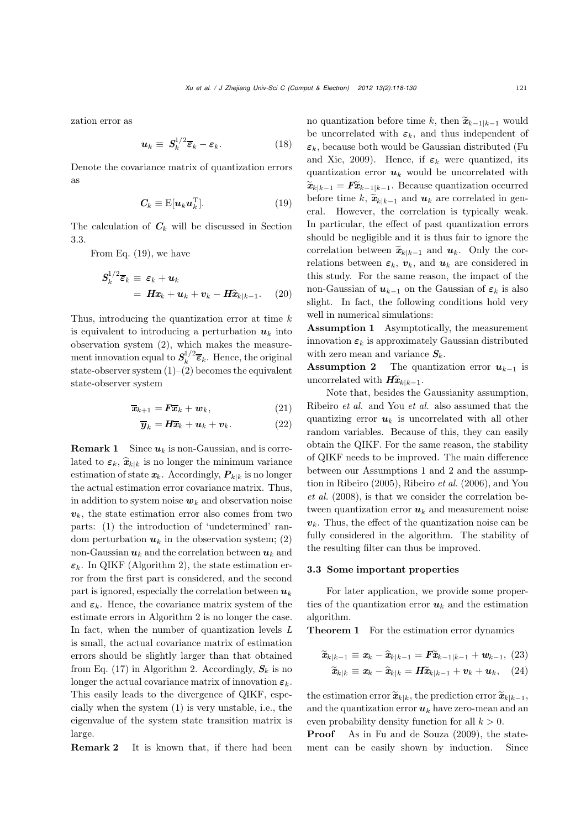zation error as

$$
\mathbf{u}_k \equiv \mathbf{S}_k^{1/2} \overline{\boldsymbol{\varepsilon}}_k - \boldsymbol{\varepsilon}_k. \tag{18}
$$

Denote the covariance matrix of quantization errors as

$$
C_k \equiv \mathrm{E}[\boldsymbol{u}_k \boldsymbol{u}_k^{\mathrm{T}}]. \tag{19}
$$

The calculation of  $C_k$  will be discussed in Section 3.3.

From Eq. (19), we have

$$
S_k^{1/2} \overline{\epsilon}_k \equiv \epsilon_k + \boldsymbol{u}_k
$$
  
=  $H\boldsymbol{x}_k + \boldsymbol{u}_k + \boldsymbol{v}_k - H\widehat{\boldsymbol{x}}_{k|k-1}.$  (20)

Thus, introducing the quantization error at time  $k$ is equivalent to introducing a perturbation  $u_k$  into observation system (2), which makes the measurement innovation equal to  $S_k^{1/2} \overline{\epsilon}_k$ . Hence, the original state-observer system  $(1)$ – $(2)$  becomes the equivalent state-observer system

$$
\overline{\boldsymbol{x}}_{k+1} = \boldsymbol{F} \overline{\boldsymbol{x}}_k + \boldsymbol{w}_k, \tag{21}
$$

$$
\overline{\boldsymbol{y}}_k = \boldsymbol{H}\overline{\boldsymbol{x}}_k + \boldsymbol{u}_k + \boldsymbol{v}_k. \tag{22}
$$

**Remark 1** Since  $u_k$  is non-Gaussian, and is corre-**Remark 1** Since  $u_k$  is non-Gaussian, and is correlated to  $\varepsilon_k$ ,  $\hat{x}_{k|k}$  is no longer the minimum variance estimation of state  $x_k$ . Accordingly,  $P_{k|k}$  is no longer the actual estimation error covariance matrix. Thus, in addition to system noise  $w_k$  and observation noise  $v_k$ , the state estimation error also comes from two parts: (1) the introduction of 'undetermined' random perturbation  $u_k$  in the observation system; (2) non-Gaussian  $u_k$  and the correlation between  $u_k$  and  $\varepsilon_k$ . In QIKF (Algorithm 2), the state estimation error from the first part is considered, and the second part is ignored, especially the correlation between  $u_k$ and  $\varepsilon_k$ . Hence, the covariance matrix system of the estimate errors in Algorithm 2 is no longer the case. In fact, when the number of quantization levels *L* is small, the actual covariance matrix of estimation errors should be slightly larger than that obtained from Eq. (17) in Algorithm 2. Accordingly,  $S_k$  is no longer the actual covariance matrix of innovation  $\varepsilon_k$ . This easily leads to the divergence of QIKF, especially when the system (1) is very unstable, i.e., the eigenvalue of the system state transition matrix is large.

**Remark 2** It is known that, if there had been

no quantization before time k, then  $\tilde{\mathbf{x}}_{k-1|k-1}$  would be uncorrelated with  $\varepsilon_k$ , and thus independent of  $\varepsilon_k$ , because both would be Gaussian distributed (Fu and Xie, 2009). Hence, if  $\varepsilon_k$  were quantized, its quantization error *u*<sup>k</sup> would be uncorrelated with *x*k, secallise som world be dialected and Xie, 2009). Hence, if  $\varepsilon_k$  were quantized, its<br>quantization error  $u_k$  would be uncorrelated with<br> $\widetilde{\mathbf{x}}_{k|k-1} = \widetilde{\mathbf{F}} \widetilde{\mathbf{x}}_{k-1|k-1}$ . Because quantization occurred  $\widetilde{\mathbf{x}}_{k|k-1} = \mathbf{F} \widetilde{\mathbf{x}}_{k-1|k-1}$ . Because quantization occurred before time  $k$ ,  $\widetilde{\mathbf{x}}_{k|k-1}$  and  $\mathbf{u}_k$  are correlated in general. However, the correlation is typically weak. In particular, the effect of past quantization errors should be negligible and it is thus fair to ignore the correlation between  $\widetilde{\mathbf{x}}_{k|k-1}$  and  $\mathbf{u}_k$ . Only the correlations between  $\varepsilon_k$ ,  $v_k$ , and  $u_k$  are considered in this study. For the same reason, the impact of the non-Gaussian of  $u_{k-1}$  on the Gaussian of  $\varepsilon_k$  is also slight. In fact, the following conditions hold very well in numerical simulations:

Assumption 1 Asymptotically, the measurement innovation  $\varepsilon_k$  is approximately Gaussian distributed with zero mean and variance  $S_k$ .

Assumption 2 The quantization error  $u_{k-1}$  is uncorrelated with  $H\tilde{x}_{k|k-1}$ .

Note that, besides the Gaussianity assumption, Ribeiro *et al.* and You *et al.* also assumed that the quantizing error  $u_k$  is uncorrelated with all other random variables. Because of this, they can easily obtain the QIKF. For the same reason, the stability of QIKF needs to be improved. The main difference between our Assumptions 1 and 2 and the assumption in Ribeiro (2005), Ribeiro *et al.* (2006), and You *et al.* (2008), is that we consider the correlation between quantization error  $u_k$  and measurement noise  $v_k$ . Thus, the effect of the quantization noise can be fully considered in the algorithm. The stability of the resulting filter can thus be improved.

### 3.3 Some important properties

For later application, we provide some properties of the quantization error  $u_k$  and the estimation algorithm.

**Theorem 1** For the estimation error dynamics  
\n
$$
\widetilde{\boldsymbol{x}}_{k|k-1} \equiv \boldsymbol{x}_k - \widehat{\boldsymbol{x}}_{k|k-1} = \boldsymbol{F} \widetilde{\boldsymbol{x}}_{k-1|k-1} + \boldsymbol{w}_{k-1},
$$
\n(23)\n
$$
\widetilde{\boldsymbol{x}}_{k|k} \equiv \boldsymbol{x}_k - \widehat{\boldsymbol{x}}_{k|k} = \boldsymbol{H} \widetilde{\boldsymbol{x}}_{k|k-1} + \boldsymbol{v}_k + \boldsymbol{u}_k,
$$
\n(24)

the estimation error  $\widetilde{\mathbf{x}}_{k|k}$ , the prediction error  $\widetilde{\mathbf{x}}_{k|k-1}$ , and the quantization error  $u_k$  have zero-mean and an even probability density function for all  $k > 0$ .<br>**Proof** As in Fu and de Souza (2009), the

As in Fu and de Souza (2009), the statement can be easily shown by induction. Since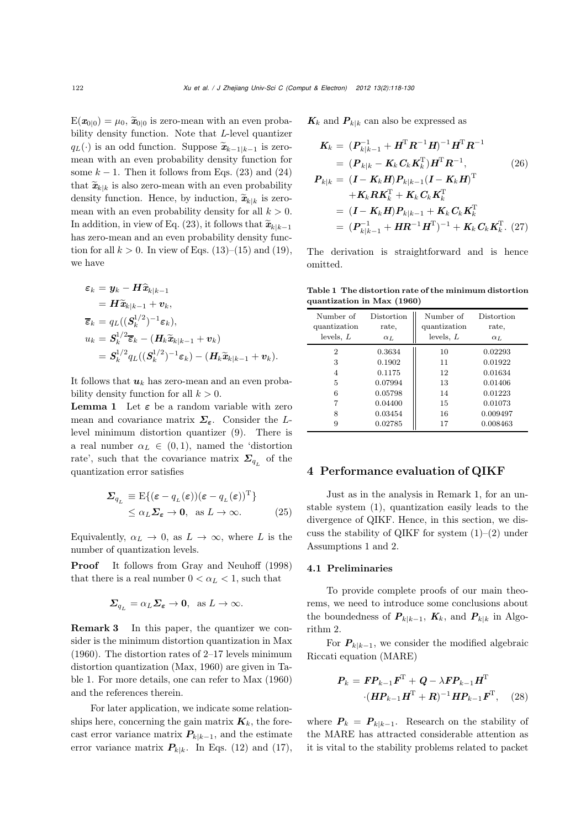$E(\mathbf{x}_{0|0}) = \mu_0$ ,  $\widetilde{\mathbf{x}}_{0|0}$  is zero-mean with an even probability density function. Note that *L*-level quantizer  $E(\mathbf{x}_{0|0}) = \mu_0$ ,  $\tilde{\mathbf{x}}_{0|0}$  is zero-mean with an even probability density function. Note that *L*-level quantizer  $q_L(\cdot)$  is an odd function. Suppose  $\tilde{\mathbf{x}}_{k-1|k-1}$  is zero-mean with an such probability densit mean with an even probability density function for some  $k - 1$ . Then it follows from Eqs. (23) and (24) mean with an even probability density function for<br>some  $k-1$ . Then it follows from Eqs. (23) and (24)<br>that  $\tilde{\mathbf{x}}_{k|k}$  is also zero-mean with an even probability some  $k-1$ . Then it follows from Eqs. (23) and (24) that  $\widetilde{\mathbf{x}}_{k|k}$  is also zero-mean with an even probability density function. Hence, by induction,  $\widetilde{\mathbf{x}}_{k|k}$  is zeromean with an even probability density for all  $k > 0$ .<br>In addition, in view of Eq. (23), it follows that  $\tilde{\mathbf{x}}_{k|k-1}$ In addition, in view of Eq. (23), it follows that  $\tilde{\mathbf{x}}_{k|k}$  is zeromean with an even probability density for all  $k > 0$ .<br>In addition, in view of Eq. (23), it follows that  $\tilde{\mathbf{x}}_{k|k-1}$ has zero-mean and an even probability density function for all  $k > 0$ . In view of Eqs. (13)–(15) and (19), we have

$$
\varepsilon_k = \mathbf{y}_k - \mathbf{H}\hat{\mathbf{x}}_{k|k-1}
$$
\nhave  
\n
$$
\varepsilon_k = \mathbf{y}_k - \mathbf{H}\hat{\mathbf{x}}_{k|k-1}
$$
\n
$$
= \mathbf{H}\tilde{\mathbf{x}}_{k|k-1} + \mathbf{v}_k,
$$
\n
$$
\overline{\varepsilon}_k = q_L((\mathbf{S}_k^{1/2})^{-1}\varepsilon_k),
$$
\n
$$
u_k = \mathbf{S}_k^{1/2}\overline{\varepsilon}_k - (\mathbf{H}_k\tilde{\mathbf{x}}_{k|k-1} + \mathbf{v}_k)
$$
\n
$$
= \mathbf{S}_k^{1/2}q_L((\mathbf{S}_k^{1/2})^{-1}\varepsilon_k) - (\mathbf{H}_k\tilde{\mathbf{x}}_{k|k-1} + \mathbf{v}_k).
$$

It follows that  $u_k$  has zero-mean and an even probability density function for all  $k > 0$ .

**Lemma 1** Let  $\varepsilon$  be a random variable with zero mean and covariance matrix *Σε*. Consider the Llevel minimum distortion quantizer (9). There is a real number  $\alpha_L \in (0,1)$ , named the 'distortion rate', such that the covariance matrix  $\Sigma_{q_L}$  of the quantization error satisfies

$$
\Sigma_{q_L} \equiv \mathcal{E}\{(\varepsilon - q_L(\varepsilon))(\varepsilon - q_L(\varepsilon))^{\mathrm{T}}\}\
$$
  

$$
\leq \alpha_L \Sigma_{\varepsilon} \to \mathbf{0}, \text{ as } L \to \infty.
$$
 (25)

Equivalently,  $\alpha_L \to 0$ , as  $L \to \infty$ , where L is the number of quantization levels.

**Proof** It follows from Gray and Neuhoff (1998) that there is a real number  $0 < \alpha_L < 1$ , such that

$$
\Sigma_{q_L} = \alpha_L \Sigma_{\varepsilon} \to 0, \text{ as } L \to \infty.
$$

**Remark 3** In this paper, the quantizer we consider is the minimum distortion quantization in Max (1960). The distortion rates of 2–17 levels minimum distortion quantization (Max, 1960) are given in Table 1. For more details, one can refer to Max (1960) and the references therein.

For later application, we indicate some relationships here, concerning the gain matrix  $\mathbf{K}_k$ , the forecast error variance matrix  $P_{k|k-1}$ , and the estimate error variance matrix  $P_{k|k}$ . In Eqs. (12) and (17),

 $K_k$  and  $P_{k|k}$  can also be expressed as

$$
K_{k} = (P_{k|k-1}^{-1} + H^{T} R^{-1} H)^{-1} H^{T} R^{-1}
$$
  
\n
$$
= (P_{k|k} - K_{k} C_{k} K_{k}^{T}) H^{T} R^{-1},
$$
(26)  
\n
$$
P_{k|k} = (I - K_{k} H) P_{k|k-1} (I - K_{k} H)^{T}
$$
  
\n
$$
+ K_{k} R K_{k}^{T} + K_{k} C_{k} K_{k}^{T}
$$
  
\n
$$
= (I - K_{k} H) P_{k|k-1} + K_{k} C_{k} K_{k}^{T}
$$
  
\n
$$
= (P_{k|k-1}^{-1} + H R^{-1} H^{T})^{-1} + K_{k} C_{k} K_{k}^{T}. (27)
$$

The derivation is straightforward and is hence omitted.

Table 1 The distortion rate of the minimum distortion quantization in Max (1960)

| Number of<br>quantization<br>levels, $L$ | Distortion<br>rate.<br>$\alpha_L$ | Number of<br>quantization<br>levels, $L$ | Distortion<br>rate,<br>$\alpha_L$ |
|------------------------------------------|-----------------------------------|------------------------------------------|-----------------------------------|
| 2                                        | 0.3634                            | 10                                       | 0.02293                           |
| 3                                        | 0.1902                            | 11                                       | 0.01922                           |
| $\overline{4}$                           | 0.1175                            | 12                                       | 0.01634                           |
| 5                                        | 0.07994                           | 13                                       | 0.01406                           |
| 6                                        | 0.05798                           | 14                                       | 0.01223                           |
| 7                                        | 0.04400                           | 15                                       | 0.01073                           |
| 8                                        | 0.03454                           | 16                                       | 0.009497                          |
| 9                                        | 0.02785                           | 17                                       | 0.008463                          |

## 4 Performance evaluation of QIKF

Just as in the analysis in Remark 1, for an unstable system (1), quantization easily leads to the divergence of QIKF. Hence, in this section, we discuss the stability of QIKF for system  $(1)$ – $(2)$  under Assumptions 1 and 2.

#### 4.1 Preliminaries

To provide complete proofs of our main theorems, we need to introduce some conclusions about the boundedness of  $P_{k|k-1}$ ,  $K_k$ , and  $P_{k|k}$  in Algorithm 2.

For  $P_{k|k-1}$ , we consider the modified algebraic Riccati equation (MARE)

$$
\boldsymbol{P}_k = \boldsymbol{F} \boldsymbol{P}_{k-1} \boldsymbol{F}^{\mathrm{T}} + \boldsymbol{Q} - \lambda \boldsymbol{F} \boldsymbol{P}_{k-1} \boldsymbol{H}^{\mathrm{T}} \cdot (\boldsymbol{H} \boldsymbol{P}_{k-1} \boldsymbol{H}^{\mathrm{T}} + \boldsymbol{R})^{-1} \boldsymbol{H} \boldsymbol{P}_{k-1} \boldsymbol{F}^{\mathrm{T}},
$$
 (28)

where  $P_k = P_{k|k-1}$ . Research on the stability of the MARE has attracted considerable attention as it is vital to the stability problems related to packet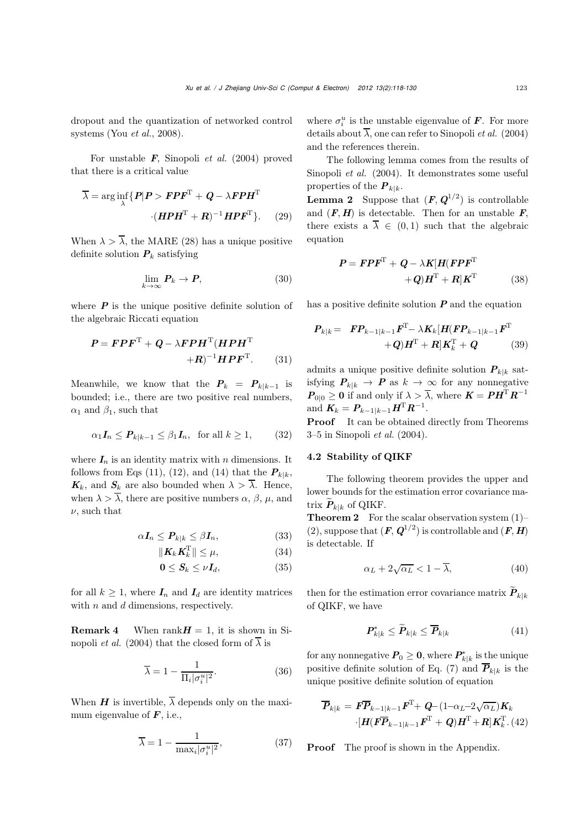dropout and the quantization of networked control systems (You *et al.*, 2008).

For unstable *F*, Sinopoli *et al.* (2004) proved that there is a critical value

$$
\overline{\lambda} = \arg\inf_{\lambda} \{ P | P > FPF^{T} + Q - \lambda FPH^{T}
$$

$$
\cdot (HPH^{T} + R)^{-1} HPF^{T} \}. (29)
$$

When  $\lambda > \overline{\lambda}$ , the MARE (28) has a unique positive definite solution  $P_k$  satisfying

$$
\lim_{k \to \infty} \mathbf{P}_k \to \mathbf{P},\tag{30}
$$

where  $P$  is the unique positive definite solution of the algebraic Riccati equation

$$
P = FPF^{T} + Q - \lambda FPH^{T}(HPH^{T} + R)^{-1}HPF^{T}.
$$
 (31)

Meanwhile, we know that the  $P_k = P_{k|k-1}$  is bounded; i.e., there are two positive real numbers,  $\alpha_1$  and  $\beta_1$ , such that

$$
\alpha_1 I_n \le P_{k|k-1} \le \beta_1 I_n, \text{ for all } k \ge 1,
$$
 (32)

where  $I_n$  is an identity matrix with n dimensions. It follows from Eqs (11), (12), and (14) that the  $P_{k|k}$ ,  $K_k$ , and  $S_k$  are also bounded when  $\lambda > \overline{\lambda}$ . Hence, when  $\lambda > \overline{\lambda}$ , there are positive numbers  $\alpha$ ,  $\beta$ ,  $\mu$ , and  $\nu$ , such that

$$
\alpha I_n \le P_{k|k} \le \beta I_n,\tag{33}
$$

$$
\|\mathbf{K}_k \mathbf{K}_k^{\mathrm{T}}\| \le \mu,\tag{34}
$$

$$
0 \leq S_k \leq \nu I_d, \tag{35}
$$

for all  $k \geq 1$ , where  $I_n$  and  $I_d$  are identity matrices with  $n$  and  $d$  dimensions, respectively.

**Remark 4** When rank $H = 1$ , it is shown in Sinopoli *et al.* (2004) that the closed form of  $\overline{\lambda}$  is

$$
\overline{\lambda} = 1 - \frac{1}{\Pi_i |\sigma_i^u|^2}.
$$
 (36)

When *H* is invertible,  $\overline{\lambda}$  depends only on the maximum eigenvalue of *F*, i.e.,

$$
\overline{\lambda} = 1 - \frac{1}{\max_i |\sigma_i^u|^2},\tag{37}
$$

where  $\sigma_i^u$  is the unstable eigenvalue of **F**. For more details about  $\overline{\lambda}$ , one can refer to Sinopoli *et al.* (2004) and the references therein.

The following lemma comes from the results of Sinopoli *et al.* (2004). It demonstrates some useful properties of the  $P_{k|k}$ .

**Lemma 2** Suppose that  $(F, Q^{1/2})$  is controllable<br>and  $(F, H)$  is detectable. Then for an unstable F and  $(F, H)$  is detectable. Then for an unstable  $F$ , there exists a  $\overline{\lambda} \in (0,1)$  such that the algebraic equation

$$
P = FPF^{T} + Q - \lambda K[H(FPF^{T} + Q)H^{T} + R]K^{T}
$$
 (38)

has a positive definite solution *P* and the equation

$$
\boldsymbol{P}_{k|k} = \boldsymbol{F} \boldsymbol{P}_{k-1|k-1} \boldsymbol{F}^{\mathrm{T}} - \lambda \boldsymbol{K}_k [\boldsymbol{H} (\boldsymbol{F} \boldsymbol{P}_{k-1|k-1} \boldsymbol{F}^{\mathrm{T}} \n+ \boldsymbol{Q}) \boldsymbol{H}^{\mathrm{T}} + \boldsymbol{R} ] \boldsymbol{K}_k^{\mathrm{T}} + \boldsymbol{Q}
$$
\n(39)

admits a unique positive definite solution  $P_{k|k}$  satisfying  $P_{k|k} \to P$  as  $k \to \infty$  for any nonnegative  $P_{0|0} \ge 0$  if and only if  $\lambda > \overline{\lambda}$ , where  $K = PH^{T}R^{-1}$ and  $K_k = P_{k-1|k-1} H^{T} R^{-1}$ .

**Proof** It can be obtained directly from Theorems 3–5 in Sinopoli *et al.* (2004).

## 4.2 Stability of QIKF

The following theorem provides the upper and lower bounds for the estimation error covariance matrix  $\boldsymbol{P}_{k|k}$  of QIKF.

**Theorem 2** For the scalar observation system  $(1)$ – (2), suppose that  $(F, Q^{1/2})$  is controllable and  $(F, H)$ is detectable. If

$$
\alpha_L + 2\sqrt{\alpha_L} < 1 - \overline{\lambda},\tag{40}
$$

 $\alpha_L+2\sqrt{\alpha_L}<1-\overline{\lambda},\eqno(40)$  then for the estimation error covariance matrix<br>  $\widetilde{\pmb{P}}_{k|k}$ of QIKF, we have mation error covariance matrix  $P_{k|k}$ <br>ve<br> $\tilde{k}_{k|k} \leq \widetilde{P}_{k|k} \leq \overline{P}_{k|k}$  (41)

$$
\boldsymbol{P}_{k|k}^* \leq \widetilde{\boldsymbol{P}}_{k|k} \leq \overline{\boldsymbol{P}}_{k|k} \tag{41}
$$

for any nonnegative  $P_0 \geq 0$ , where  $P_{k|k}^*$  is the unique positive definite solution of Eq. (7) and  $\overline{P}_{k|k}$  is the unique positive definite solution of equation

$$
\overline{P}_{k|k} = \mathbf{F} \overline{P}_{k-1|k-1} \mathbf{F}^{\mathrm{T}} + \mathbf{Q} - (1 - \alpha_L - 2\sqrt{\alpha_L}) \mathbf{K}_k
$$

$$
\cdot [\mathbf{H}(\mathbf{F} \overline{\mathbf{P}}_{k-1|k-1} \mathbf{F}^{\mathrm{T}} + \mathbf{Q}) \mathbf{H}^{\mathrm{T}} + \mathbf{R}] \mathbf{K}_k^{\mathrm{T}} . (42)
$$

**Proof** The proof is shown in the Appendix.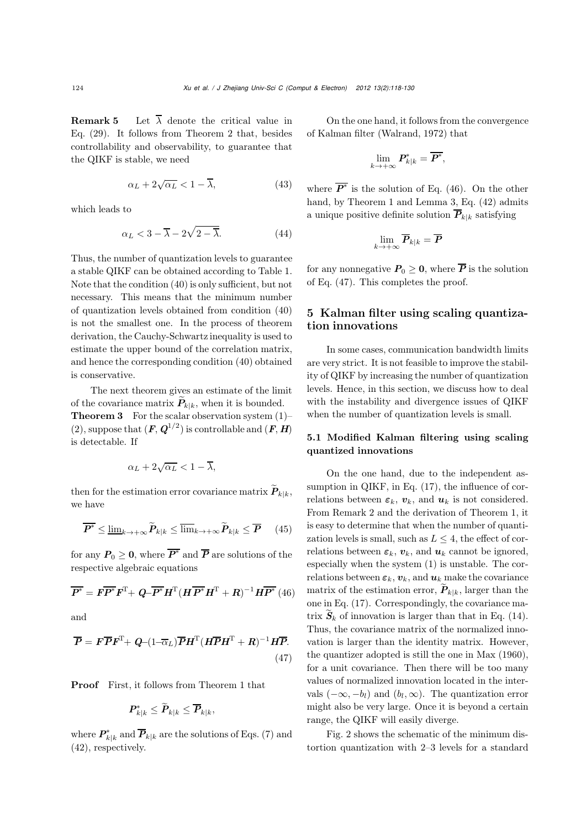**Remark 5** Let  $\overline{\lambda}$  denote the critical value in Eq. (29). It follows from Theorem 2 that, besides controllability and observability, to guarantee that the QIKF is stable, we need

$$
\alpha_L + 2\sqrt{\alpha_L} < 1 - \overline{\lambda},\tag{43}
$$

which leads to

$$
\alpha_L < 3 - \overline{\lambda} - 2\sqrt{2 - \overline{\lambda}}.\tag{44}
$$

Thus, the number of quantization levels to guarantee a stable QIKF can be obtained according to Table 1. Note that the condition (40) is only sufficient, but not necessary. This means that the minimum number of quantization levels obtained from condition (40) is not the smallest one. In the process of theorem derivation, the Cauchy-Schwartz inequality is used to estimate the upper bound of the correlation matrix, and hence the corresponding condition (40) obtained is conservative.

The next theorem gives an estimate of the limit of the covariance matrix  $\mathbf{P}_{k|k}$ , when it is bounded. **Theorem 3** For the scalar observation system  $(1)$ – (2), suppose that  $(F, Q^{1/2})$  is controllable and  $(F, H)$ is detectable. If

$$
\alpha_L + 2\sqrt{\alpha_L} < 1 - \overline{\lambda},
$$

 $\alpha_L+2\sqrt{\alpha_L}<1-\overline{\lambda},$  then for the estimation error covariance matrix<br>  $\widetilde{P}_{k|k},$ we have

en for the estimation error covariance matrix 
$$
P_{k|k}
$$
,  
have  

$$
\overline{P^*} \le \underline{\lim}_{k \to +\infty} \widetilde{P}_{k|k} \le \overline{\lim}_{k \to +\infty} \widetilde{P}_{k|k} \le \overline{P} \qquad (45)
$$

for any  $P_0 \geq 0$ , where  $\overline{P^*}$  and  $\overline{P}$  are solutions of the respective algebraic equations

$$
\overline{P^*} = \overline{FP^*} \overline{F^T} + \overline{Q} - \overline{P^*} \overline{H^T} (\overline{H} \overline{P^*} \overline{H^T} + \overline{R})^{-1} \overline{HP^*} (46)
$$

and

$$
\overline{P} = \mathbf{F} \overline{\mathbf{P}} \mathbf{F}^{\mathrm{T}} + \mathbf{Q} - (1 - \overline{\alpha}_L) \overline{\mathbf{P}} \mathbf{H}^{\mathrm{T}} (\mathbf{H} \overline{\mathbf{P}} \mathbf{H}^{\mathrm{T}} + \mathbf{R})^{-1} \mathbf{H} \overline{\mathbf{P}}.
$$
\n(47)

**Proof** First, it follows from Theorem 1 that

t, it follows from The  

$$
\boldsymbol{P}_{k|k}^* \leq \widetilde{\boldsymbol{P}}_{k|k} \leq \overline{\boldsymbol{P}}_{k|k},
$$

where  $P_{k|k}^*$  and  $P_{k|k}$  are the solutions of Eqs. (7) and (42), respectively.

On the one hand, it follows from the convergence of Kalman filter (Walrand, 1972) that

$$
\lim_{k\to+\infty}P_{k|k}^*=\overline{P^*},
$$

where  $\overline{P^*}$  is the solution of Eq. (46). On the other hand, by Theorem 1 and Lemma 3, Eq. (42) admits a unique positive definite solution  $\overline{P}_{k|k}$  satisfying

$$
\lim_{k\to+\infty}\overline{\boldsymbol{P}}_{k|k}=\overline{\boldsymbol{P}}
$$

for any nonnegative  $P_0 \geq 0$ , where  $\overline{P}$  is the solution of Eq. (47). This completes the proof.

# 5 Kalman filter using scaling quantization innovations

In some cases, communication bandwidth limits are very strict. It is not feasible to improve the stability of QIKF by increasing the number of quantization levels. Hence, in this section, we discuss how to deal with the instability and divergence issues of QIKF when the number of quantization levels is small.

# 5.1 Modified Kalman filtering using scaling quantized innovations

On the one hand, due to the independent assumption in QIKF, in Eq. (17), the influence of correlations between  $\varepsilon_k$ ,  $v_k$ , and  $u_k$  is not considered. From Remark 2 and the derivation of Theorem 1, it is easy to determine that when the number of quantization levels is small, such as  $L \leq 4$ , the effect of correlations between  $\varepsilon_k$ ,  $v_k$ , and  $u_k$  cannot be ignored, especially when the system (1) is unstable. The correlations between  $\varepsilon_k$ ,  $v_k$ , and  $u_k$  make the covariance relations between  $\varepsilon_k$ ,  $\boldsymbol{v}_k$ , and  $\boldsymbol{u}_k$  cannot be ignored,<br>especially when the system (1) is unstable. The cor-<br>relations between  $\varepsilon_k$ ,  $\boldsymbol{v}_k$ , and  $\boldsymbol{u}_k$  make the covariance<br>matrix of the estimation er one in Eq. (17). Correspondingly, the covariance mamatrix of the estimation error,  $P_{k|k}$ , larger than the one in Eq. (17). Correspondingly, the covariance matrix  $\widetilde{S}_k$  of innovation is larger than that in Eq. (14). Thus, the covariance matrix of the normalized innovation is larger than the identity matrix. However, the quantizer adopted is still the one in Max (1960), for a unit covariance. Then there will be too many values of normalized innovation located in the intervals  $(-\infty, -b_l)$  and  $(b_l, \infty)$ . The quantization error might also be very large. Once it is beyond a certain range, the QIKF will easily diverge.

Fig. 2 shows the schematic of the minimum distortion quantization with 2–3 levels for a standard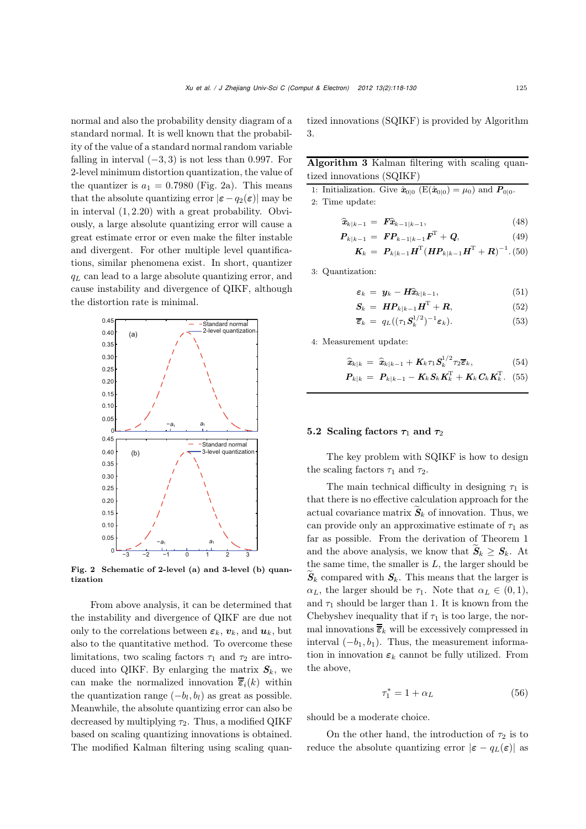normal and also the probability density diagram of a standard normal. It is well known that the probability of the value of a standard normal random variable falling in interval  $(-3, 3)$  is not less than 0.997. For 2-level minimum distortion quantization, the value of the quantizer is  $a_1 = 0.7980$  (Fig. 2a). This means that the absolute quantizing error  $|\varepsilon - q_2(\varepsilon)|$  may be in interval (1, 2.20) with a great probability. Obviously, a large absolute quantizing error will cause a great estimate error or even make the filter instable and divergent. For other multiple level quantifications, similar phenomena exist. In short, quantizer  $q_L$  can lead to a large absolute quantizing error, and cause instability and divergence of QIKF, although the distortion rate is minimal.



Fig. 2 Schematic of 2-level (a) and 3-level (b) quantization

From above analysis, it can be determined that the instability and divergence of QIKF are due not only to the correlations between  $\varepsilon_k$ ,  $v_k$ , and  $u_k$ , but also to the quantitative method. To overcome these limitations, two scaling factors  $\tau_1$  and  $\tau_2$  are introduced into QIKF. By enlarging the matrix  $S_k$ , we can make the normalized innovation  $\overline{\overline{\epsilon}}_i(k)$  within the quantization range  $(-b_l, b_l)$  as great as possible. Meanwhile, the absolute quantizing error can also be decreased by multiplying  $\tau_2$ . Thus, a modified QIKF based on scaling quantizing innovations is obtained. The modified Kalman filtering using scaling quantized innovations (SQIKF) is provided by Algorithm 3.

# Algorithm 3 Kalman filtering with scaling quantized innovations (SQIKF)

1: Initialization. Give  $\hat{\mathbf{x}}_{0|0}$  (E( $\hat{\mathbf{x}}_{0|0}$ ) =  $\mu_0$ ) and  $\mathbf{P}_{0|0}$ . 2: Time update: *x*<sup>*k*</sup> *x*<sup>*k*</sup> *x*<sup>*k*</sup> *x*<sup>*k*</sup> *x*<sup>*k*</sup> *x*<sup>*k*</sup> *x*<sup>*k*</sup> *x*<sup>*k*</sup> *x*<sup>*k*</sup> *x*<sup>*k*</sup> *x*<sup>*k*</sup> *x*<sup>*k*</sup> *x*<sup>*k*</sup> *x*<sup>*k*</sup> *x*<sup>*k*</sup> *x*<sup>*k*</sup> *x*<sup>*k*</sup> *x*<sup>*k*</sup> *x*<sup>*k*</sup> *x*<sup>*k*</sup> *x*<sup>*k*</sup> *x*<sup>*k*</sup> *x*<sup>*k*</sup> *x*<sup>*k*</sup> *x*<sup></sup>

$$
\hat{\boldsymbol{x}}_{k|k-1} = \boldsymbol{F} \hat{\boldsymbol{x}}_{k-1|k-1}, \tag{48}
$$

$$
P_{k|k-1} = FP_{k-1|k-1}F^{T} + Q,
$$
\n(49)

$$
K_k = P_{k|k-1} H^{\mathrm{T}} (H P_{k|k-1} H^{\mathrm{T}} + R)^{-1} . (50)
$$

3: Quantization:

ation:  
\n
$$
\varepsilon_k = \mathbf{y}_k - \mathbf{H} \hat{\mathbf{x}}_{k|k-1},
$$
\n(51)

$$
\mathbf{S}_k = \boldsymbol{H} \boldsymbol{P}_{k|k-1} \boldsymbol{H}^{\mathrm{T}} + \boldsymbol{R}, \tag{52}
$$

$$
\overline{\boldsymbol{\varepsilon}}_k = q_L((\tau_1 \boldsymbol{S}_k^{1/2})^{-1} \boldsymbol{\varepsilon}_k). \tag{53}
$$

4: Measurement update:

$$
\begin{aligned}\n\text{current update:} \\
\widehat{\mathbf{x}}_{k|k} &= \widehat{\mathbf{x}}_{k|k-1} + \mathbf{K}_k \tau_1 \mathbf{S}_k^{1/2} \tau_2 \overline{\boldsymbol{\varepsilon}}_k, \tag{54} \\
\mathbf{P}_{k|k} &= \mathbf{P}_{k|k-1} - \mathbf{K}_k \mathbf{S}_k \mathbf{K}_k^{\mathrm{T}} + \mathbf{K}_k \mathbf{C}_k \mathbf{K}_k^{\mathrm{T}} \tag{55}\n\end{aligned}
$$

$$
\boldsymbol{P}_{k|k} = \boldsymbol{P}_{k|k-1} - \boldsymbol{K}_k \boldsymbol{S}_k \boldsymbol{K}_k^{\mathrm{T}} + \boldsymbol{K}_k \boldsymbol{C}_k \boldsymbol{K}_k^{\mathrm{T}}. \hspace{2mm} (55)
$$

## 5.2 Scaling factors  $\tau_1$  and  $\tau_2$

The key problem with SQIKF is how to design the scaling factors  $\tau_1$  and  $\tau_2$ .

The main technical difficulty in designing  $\tau_1$  is that there is no effective calculation approach for the actual covariance matrix  $S_k$  of innovation. Thus, we actual covariance matrix  $S_k$  of innovation. Thus, we<br>can provide only an approximative estimate of  $\tau_1$  as<br>far as possible. From the derivation of Theorem 1<br>and the above analysis, we know that  $\widetilde{S}_k \geq S_k$ . At far as possible. From the derivation of Theorem 1 the same time, the smaller is  $L$ , the larger should be and the above analysis, we know that  $\widetilde{S}_k \geq S_k$ . At the same time, the smaller is *L*, the larger should be  $\widetilde{S}_k$  compared with  $S_k$ . This means that the larger is  $\alpha_L$ , the larger should be  $\tau_1$ . Note that  $\alpha_L \in (0,1)$ , and  $\tau_1$  should be larger than 1. It is known from the Chebyshev inequality that if  $\tau_1$  is too large, the normal innovations  $\overline{\overline{\epsilon}}_k$  will be excessively compressed in interval  $(-b_1, b_1)$ . Thus, the measurement information in innovation  $\varepsilon_k$  cannot be fully utilized. From the above,

$$
\tau_1^* = 1 + \alpha_L \tag{56}
$$

should be a moderate choice.

On the other hand, the introduction of  $\tau_2$  is to reduce the absolute quantizing error  $|\varepsilon - q_L(\varepsilon)|$  as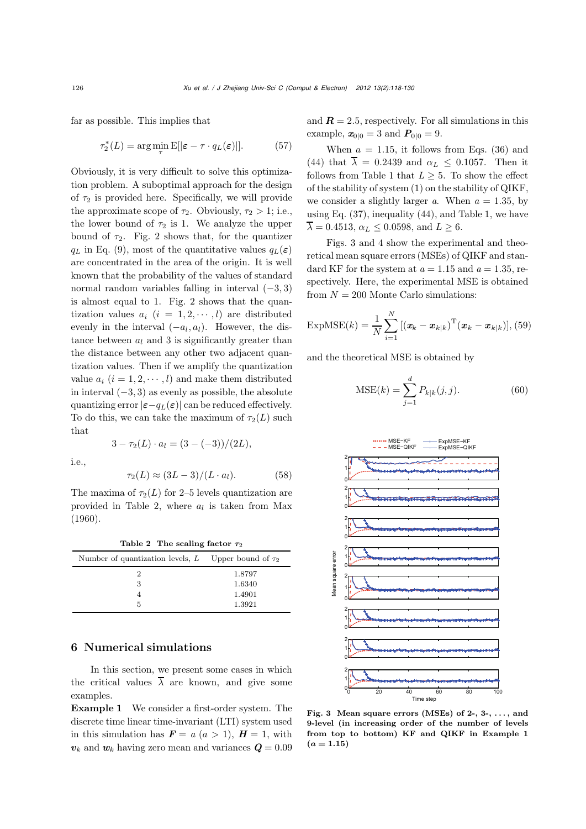far as possible. This implies that

$$
\tau_2^*(L) = \arg\min_{\tau} \mathbb{E}[|\varepsilon - \tau \cdot q_L(\varepsilon)|]. \tag{57}
$$

Obviously, it is very difficult to solve this optimization problem. A suboptimal approach for the design of  $\tau_2$  is provided here. Specifically, we will provide the approximate scope of  $\tau_2$ . Obviously,  $\tau_2 > 1$ ; i.e., the lower bound of  $\tau_2$  is 1. We analyze the upper bound of  $\tau_2$ . Fig. 2 shows that, for the quantizer  $q_L$  in Eq. (9), most of the quantitative values  $q_L(\varepsilon)$ are concentrated in the area of the origin. It is well known that the probability of the values of standard normal random variables falling in interval  $(-3, 3)$ is almost equal to 1. Fig. 2 shows that the quantization values  $a_i$   $(i = 1, 2, \dots, l)$  are distributed evenly in the interval  $(-a_l, a_l)$ . However, the distance between  $a_l$  and 3 is significantly greater than the distance between any other two adjacent quantization values. Then if we amplify the quantization value  $a_i$   $(i = 1, 2, \dots, l)$  and make them distributed in interval  $(-3, 3)$  as evenly as possible, the absolute quantizing error  $|\varepsilon - q_L(\varepsilon)|$  can be reduced effectively. To do this, we can take the maximum of  $\tau_2(L)$  such that  $3 - \tau_2(L) \cdot a_l = (3 - (-3))/(2L),$ 

i.e.,

$$
\tau_2(L) \approx (3L-3)/(L \cdot a_l). \tag{58}
$$

The maxima of  $\tau_2(L)$  for 2–5 levels quantization are provided in Table 2, where  $a_l$  is taken from Max (1960).

| Table 2 The scaling factor $\tau_2$                      |        |  |  |
|----------------------------------------------------------|--------|--|--|
| Number of quantization levels, L Upper bound of $\tau_2$ |        |  |  |
| 2                                                        | 1.8797 |  |  |
| 3                                                        | 1.6340 |  |  |
|                                                          | 1.4901 |  |  |
| 5                                                        | 1.3921 |  |  |

# 6 Numerical simulations

In this section, we present some cases in which the critical values  $\overline{\lambda}$  are known, and give some examples.

Example 1 We consider a first-order system. The discrete time linear time-invariant (LTI) system used in this simulation has  $\mathbf{F} = a \ (a > 1), \ \mathbf{H} = 1$ , with  $v_k$  and  $w_k$  having zero mean and variances  $Q = 0.09$  and  $\mathbf{R} = 2.5$ , respectively. For all simulations in this example,  $x_{0|0} = 3$  and  $P_{0|0} = 9$ .

When  $a = 1.15$ , it follows from Eqs. (36) and (44) that  $\overline{\lambda} = 0.2439$  and  $\alpha_L < 0.1057$ . Then it follows from Table 1 that  $L \geq 5$ . To show the effect of the stability of system (1) on the stability of QIKF, we consider a slightly larger *a*. When  $a = 1.35$ , by using Eq. (37), inequality (44), and Table 1, we have  $\overline{\lambda} = 0.4513, \alpha_L \leq 0.0598, \text{ and } L \geq 6.$ 

Figs. 3 and 4 show the experimental and theoretical mean square errors (MSEs) of QIKF and standard KF for the system at  $a = 1.15$  and  $a = 1.35$ , respectively. Here, the experimental MSE is obtained from  $N = 200$  Monte Carlo simulations:

$$
\text{ExpMSE}(k) = \frac{1}{N} \sum_{i=1}^{N} \left[ (\boldsymbol{x}_k - \boldsymbol{x}_{k|k})^{\text{T}} (\boldsymbol{x}_k - \boldsymbol{x}_{k|k}) \right], (59)
$$

and the theoretical MSE is obtained by

oretical MSE is obtained by  
\n
$$
MSE(k) = \sum_{j=1}^{d} P_{k|k}(j, j).
$$
\n(60)



Fig. 3 Mean square errors (MSEs) of 2-, 3-, . . . , and 9-level (in increasing order of the number of levels from top to bottom) KF and QIKF in Example 1  $(a = 1.15)$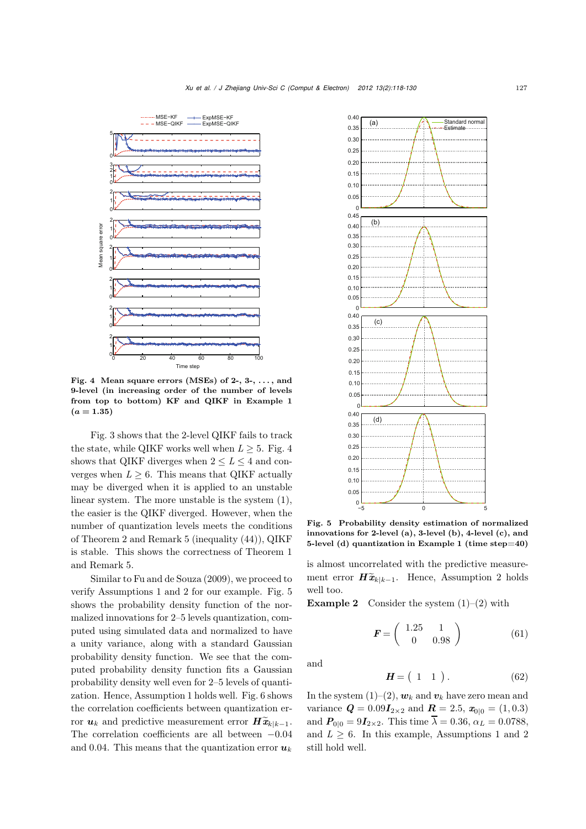

Fig. 4 Mean square errors (MSEs) of 2-, 3-,  $\dots$ , and 9-level (in increasing order of the number of levels from top to bottom) KF and QIKF in Example 1  $(a = 1.35)$ 

Fig. 3 shows that the 2-level QIKF fails to track the state, while QIKF works well when  $L > 5$ . Fig. 4 shows that QIKF diverges when  $2 \leq L \leq 4$  and converges when  $L \geq 6$ . This means that QIKF actually may be diverged when it is applied to an unstable linear system. The more unstable is the system (1), the easier is the QIKF diverged. However, when the number of quantization levels meets the conditions of Theorem 2 and Remark 5 (inequality (44)), QIKF is stable. This shows the correctness of Theorem 1 and Remark 5.

Similar to Fu and de Souza (2009), we proceed to verify Assumptions 1 and 2 for our example. Fig. 5 shows the probability density function of the normalized innovations for 2–5 levels quantization, computed using simulated data and normalized to have a unity variance, along with a standard Gaussian probability density function. We see that the computed probability density function fits a Gaussian probability density well even for 2–5 levels of quantization. Hence, Assumption 1 holds well. Fig. 6 shows the correlation coefficients between quantization error *u*k and predictive measurement error  $\hat{H}$   $\tilde{x}_{k|k-1}$ .<br> *u*k and predictive measurement error  $\hat{H}$  $\tilde{x}_{k|k-1}$ . The correlation coefficients are all between <sup>−</sup>0.04 and 0.04. This means that the quantization error  $u_k$ 



Fig. 5 Probability density estimation of normalized innovations for 2-level (a), 3-level (b), 4-level (c), and 5-level (d) quantization in Example 1 (time step=40)

is almost uncorrelated with the predictive measure-5-level (d) quantization in Example 1 (time step=40)<br>is almost uncorrelated with the predictive measure-<br>ment error  $H\tilde{x}_{k|k-1}$ . Hence, Assumption 2 holds well too.

**Example 2** Consider the system  $(1)$ – $(2)$  with

Consider the system (1)–(2) with  
\n
$$
\mathbf{F} = \begin{pmatrix} 1.25 & 1 \\ 0 & 0.98 \end{pmatrix}
$$
\n(61)  
\n
$$
\mathbf{H} = \begin{pmatrix} 1 & 1 \end{pmatrix}.
$$
\n(62)

and

$$
H = \begin{pmatrix} 1 & 1 \end{pmatrix}.
$$
 (62)

In the system  $(1)$ – $(2)$ ,  $w_k$  and  $v_k$  have zero mean and variance  $Q = 0.09I_{2\times2}$  and  $R = 2.5$ ,  $x_{0|0} = (1, 0.3)$ and  $P_{0|0} = 9I_{2\times 2}$ . This time  $\overline{\lambda} = 0.36$ ,  $\alpha_L = 0.0788$ , and  $L \geq 6$ . In this example, Assumptions 1 and 2 still hold well.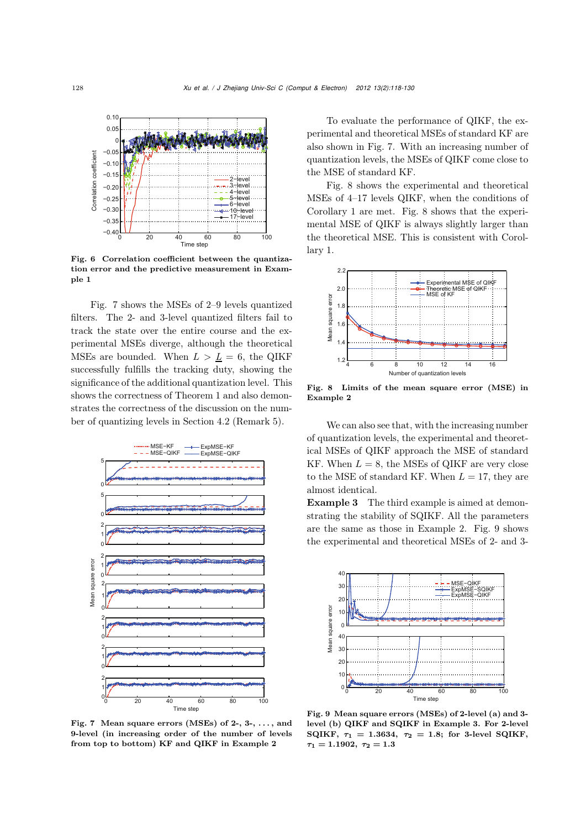

Fig. 6 Correlation coefficient between the quantization error and the predictive measurement in Example 1

Fig. 7 shows the MSEs of 2–9 levels quantized filters. The 2- and 3-level quantized filters fail to track the state over the entire course and the experimental MSEs diverge, although the theoretical MSEs are bounded. When  $L > L = 6$ , the QIKF successfully fulfills the tracking duty, showing the significance of the additional quantization level. This shows the correctness of Theorem 1 and also demonstrates the correctness of the discussion on the number of quantizing levels in Section 4.2 (Remark 5).



Fig. 7 Mean square errors (MSEs) of  $2-$ ,  $3-$ , ..., and 9-level (in increasing order of the number of levels from top to bottom) KF and QIKF in Example 2

To evaluate the performance of QIKF, the experimental and theoretical MSEs of standard KF are also shown in Fig. 7. With an increasing number of quantization levels, the MSEs of QIKF come close to the MSE of standard KF.

Fig. 8 shows the experimental and theoretical MSEs of 4–17 levels QIKF, when the conditions of Corollary 1 are met. Fig. 8 shows that the experimental MSE of QIKF is always slightly larger than the theoretical MSE. This is consistent with Corollary 1.



Fig. 8 Limits of the mean square error (MSE) in Example 2

We can also see that, with the increasing number of quantization levels, the experimental and theoretical MSEs of QIKF approach the MSE of standard KF. When  $L = 8$ , the MSEs of QIKF are very close to the MSE of standard KF. When  $L = 17$ , they are almost identical.

Example 3 The third example is aimed at demonstrating the stability of SQIKF. All the parameters are the same as those in Example 2. Fig. 9 shows the experimental and theoretical MSEs of 2- and 3-



Fig. 9 Mean square errors (MSEs) of 2-level (a) and 3 level (b) QIKF and SQIKF in Example 3. For 2-level SQIKF,  $\tau_1 = 1.3634$ ,  $\tau_2 = 1.8$ ; for 3-level SQIKF,  $\tau_1 = 1.1902, \ \tau_2 = 1.3$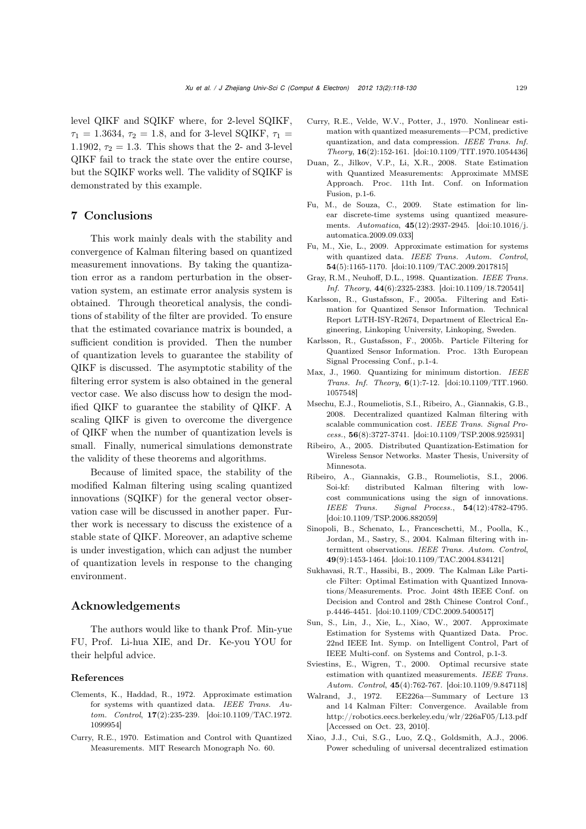level QIKF and SQIKF where, for 2-level SQIKF,  $\tau_1 = 1.3634, \tau_2 = 1.8$ , and for 3-level SQIKF,  $\tau_1 =$ 1.1902,  $\tau_2 = 1.3$ . This shows that the 2- and 3-level QIKF fail to track the state over the entire course, but the SQIKF works well. The validity of SQIKF is demonstrated by this example.

## 7 Conclusions

This work mainly deals with the stability and convergence of Kalman filtering based on quantized measurement innovations. By taking the quantization error as a random perturbation in the observation system, an estimate error analysis system is obtained. Through theoretical analysis, the conditions of stability of the filter are provided. To ensure that the estimated covariance matrix is bounded, a sufficient condition is provided. Then the number of quantization levels to guarantee the stability of QIKF is discussed. The asymptotic stability of the filtering error system is also obtained in the general vector case. We also discuss how to design the modified QIKF to guarantee the stability of QIKF. A scaling QIKF is given to overcome the divergence of QIKF when the number of quantization levels is small. Finally, numerical simulations demonstrate the validity of these theorems and algorithms.

Because of limited space, the stability of the modified Kalman filtering using scaling quantized innovations (SQIKF) for the general vector observation case will be discussed in another paper. Further work is necessary to discuss the existence of a stable state of QIKF. Moreover, an adaptive scheme is under investigation, which can adjust the number of quantization levels in response to the changing environment.

## Acknowledgements

The authors would like to thank Prof. Min-yue FU, Prof. Li-hua XIE, and Dr. Ke-you YOU for their helpful advice.

#### References

- Clements, K., Haddad, R., 1972. Approximate estimation for systems with quantized data. *IEEE Trans. Autom. Control*, 17(2):235-239. [doi:10.1109/TAC.1972. 1099954]
- Curry, R.E., 1970. Estimation and Control with Quantized Measurements. MIT Research Monograph No. 60.
- Curry, R.E., Velde, W.V., Potter, J., 1970. Nonlinear estimation with quantized measurements—PCM, predictive quantization, and data compression. *IEEE Trans. Inf. Theory*, 16(2):152-161. [doi:10.1109/TIT.1970.1054436]
- Duan, Z., Jilkov, V.P., Li, X.R., 2008. State Estimation with Quantized Measurements: Approximate MMSE Approach. Proc. 11th Int. Conf. on Information Fusion, p.1-6.
- Fu, M., de Souza, C., 2009. State estimation for linear discrete-time systems using quantized measurements. *Automatica*, 45(12):2937-2945. [doi:10.1016/j. automatica.2009.09.033]
- Fu, M., Xie, L., 2009. Approximate estimation for systems with quantized data. *IEEE Trans. Autom. Control*, 54(5):1165-1170. [doi:10.1109/TAC.2009.2017815]
- Gray, R.M., Neuhoff, D.L., 1998. Quantization. *IEEE Trans. Inf. Theory*, 44(6):2325-2383. [doi:10.1109/18.720541]
- Karlsson, R., Gustafsson, F., 2005a. Filtering and Estimation for Quantized Sensor Information. Technical Report LiTH-ISY-R2674, Department of Electrical Engineering, Linkoping University, Linkoping, Sweden.
- Karlsson, R., Gustafsson, F., 2005b. Particle Filtering for Quantized Sensor Information. Proc. 13th European Signal Processing Conf., p.1-4.
- Max, J., 1960. Quantizing for minimum distortion. *IEEE Trans. Inf. Theory*, 6(1):7-12. [doi:10.1109/TIT.1960. 1057548]
- Msechu, E.J., Roumeliotis, S.I., Ribeiro, A., Giannakis, G.B., 2008. Decentralized quantized Kalman filtering with scalable communication cost. *IEEE Trans. Signal Process.*, 56(8):3727-3741. [doi:10.1109/TSP.2008.925931]
- Ribeiro, A., 2005. Distributed Quantization-Estimation for Wireless Sensor Networks. Master Thesis, University of Minnesota.
- Ribeiro, A., Giannakis, G.B., Roumeliotis, S.I., 2006. Soi-kf: distributed Kalman filtering with lowcost communications using the sign of innovations. *IEEE Trans. Signal Process.*, 54(12):4782-4795. [doi:10.1109/TSP.2006.882059]
- Sinopoli, B., Schenato, L., Franceschetti, M., Poolla, K., Jordan, M., Sastry, S., 2004. Kalman filtering with intermittent observations. *IEEE Trans. Autom. Control*, 49(9):1453-1464. [doi:10.1109/TAC.2004.834121]
- Sukhavasi, R.T., Hassibi, B., 2009. The Kalman Like Particle Filter: Optimal Estimation with Quantized Innovations/Measurements. Proc. Joint 48th IEEE Conf. on Decision and Control and 28th Chinese Control Conf., p.4446-4451. [doi:10.1109/CDC.2009.5400517]
- Sun, S., Lin, J., Xie, L., Xiao, W., 2007. Approximate Estimation for Systems with Quantized Data. Proc. 22nd IEEE Int. Symp. on Intelligent Control, Part of IEEE Multi-conf. on Systems and Control, p.1-3.
- Sviestins, E., Wigren, T., 2000. Optimal recursive state estimation with quantized measurements. *IEEE Trans. Autom. Control*, 45(4):762-767. [doi:10.1109/9.847118]
- Walrand, J., 1972. EE226a—Summary of Lecture 13 and 14 Kalman Filter: Convergence. Available from http://robotics.eecs.berkeley.edu/wlr/226aF05/L13.pdf [Accessed on Oct. 23, 2010].
- Xiao, J.J., Cui, S.G., Luo, Z.Q., Goldsmith, A.J., 2006. Power scheduling of universal decentralized estimation